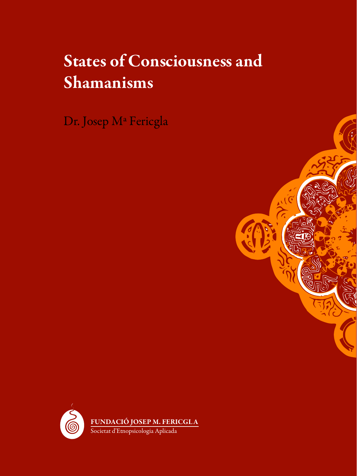## States of Consciousness and Shamanisms

Dr. Josep Mª Fericgla

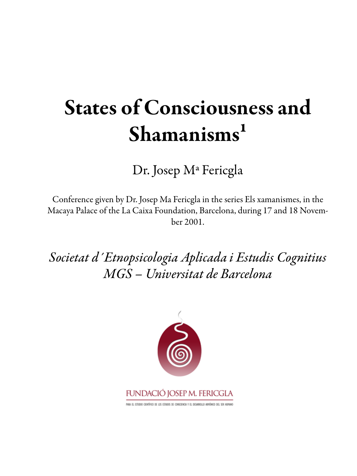# States of Consciousness and Shamanisms<sup>1</sup>

Dr. Josep Mª Fericgla

Conference given by Dr. Josep Ma Fericgla in the series Els xamanismes, in the Macaya Palace of the La Caixa Foundation, Barcelona, during 17 and 18 November 2001.

*Societat d´Etnopsicologia Aplicada i Estudis Cognitius MGS – Universitat de Barcelona*



FUNDACIO JOSEP M. FERICGLA

PARA EL ESTUDIO CIENTÍFICO DE LOS ESTADOS DE CONSCIENCIA Y EL DESARROLLO ARMÓNICO DEL SER HUMANO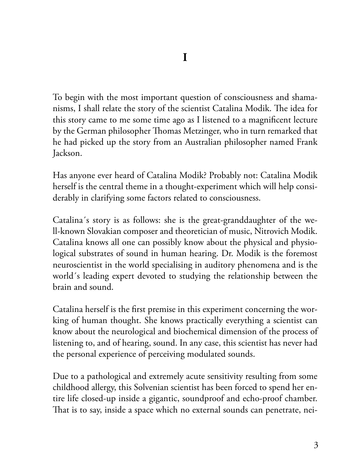To begin with the most important question of consciousness and shamanisms, I shall relate the story of the scientist Catalina Modik. The idea for this story came to me some time ago as I listened to a magnificent lecture by the German philosopher Thomas Metzinger, who in turn remarked that he had picked up the story from an Australian philosopher named Frank Jackson.

Has anyone ever heard of Catalina Modik? Probably not: Catalina Modik herself is the central theme in a thought-experiment which will help considerably in clarifying some factors related to consciousness.

Catalina´s story is as follows: she is the great-granddaughter of the well-known Slovakian composer and theoretician of music, Nitrovich Modik. Catalina knows all one can possibly know about the physical and physiological substrates of sound in human hearing. Dr. Modik is the foremost neuroscientist in the world specialising in auditory phenomena and is the world´s leading expert devoted to studying the relationship between the brain and sound.

Catalina herself is the first premise in this experiment concerning the working of human thought. She knows practically everything a scientist can know about the neurological and biochemical dimension of the process of listening to, and of hearing, sound. In any case, this scientist has never had the personal experience of perceiving modulated sounds.

Due to a pathological and extremely acute sensitivity resulting from some childhood allergy, this Solvenian scientist has been forced to spend her entire life closed-up inside a gigantic, soundproof and echo-proof chamber. That is to say, inside a space which no external sounds can penetrate, nei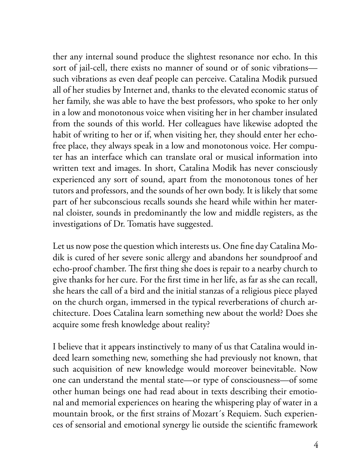ther any internal sound produce the slightest resonance nor echo. In this sort of jail-cell, there exists no manner of sound or of sonic vibrations such vibrations as even deaf people can perceive. Catalina Modik pursued all of her studies by Internet and, thanks to the elevated economic status of her family, she was able to have the best professors, who spoke to her only in a low and monotonous voice when visiting her in her chamber insulated from the sounds of this world. Her colleagues have likewise adopted the habit of writing to her or if, when visiting her, they should enter her echofree place, they always speak in a low and monotonous voice. Her computer has an interface which can translate oral or musical information into written text and images. In short, Catalina Modik has never consciously experienced any sort of sound, apart from the monotonous tones of her tutors and professors, and the sounds of her own body. It is likely that some part of her subconscious recalls sounds she heard while within her maternal cloister, sounds in predominantly the low and middle registers, as the investigations of Dr. Tomatis have suggested.

Let us now pose the question which interests us. One fine day Catalina Modik is cured of her severe sonic allergy and abandons her soundproof and echo-proof chamber. The first thing she does is repair to a nearby church to give thanks for her cure. For the first time in her life, as far as she can recall, she hears the call of a bird and the initial stanzas of a religious piece played on the church organ, immersed in the typical reverberations of church architecture. Does Catalina learn something new about the world? Does she acquire some fresh knowledge about reality?

I believe that it appears instinctively to many of us that Catalina would indeed learn something new, something she had previously not known, that such acquisition of new knowledge would moreover beinevitable. Now one can understand the mental state—or type of consciousness—of some other human beings one had read about in texts describing their emotional and memorial experiences on hearing the whispering play of water in a mountain brook, or the first strains of Mozart´s Requiem. Such experiences of sensorial and emotional synergy lie outside the scientific framework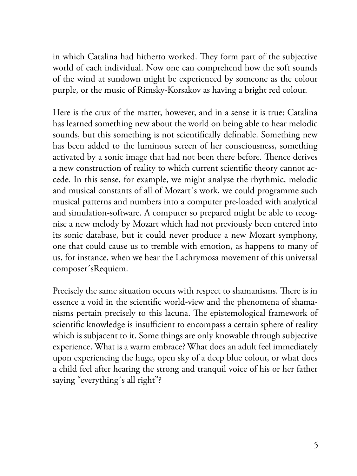in which Catalina had hitherto worked. They form part of the subjective world of each individual. Now one can comprehend how the soft sounds of the wind at sundown might be experienced by someone as the colour purple, or the music of Rimsky-Korsakov as having a bright red colour.

Here is the crux of the matter, however, and in a sense it is true: Catalina has learned something new about the world on being able to hear melodic sounds, but this something is not scientifically definable. Something new has been added to the luminous screen of her consciousness, something activated by a sonic image that had not been there before. Thence derives a new construction of reality to which current scientific theory cannot accede. In this sense, for example, we might analyse the rhythmic, melodic and musical constants of all of Mozart´s work, we could programme such musical patterns and numbers into a computer pre-loaded with analytical and simulation-software. A computer so prepared might be able to recognise a new melody by Mozart which had not previously been entered into its sonic database, but it could never produce a new Mozart symphony, one that could cause us to tremble with emotion, as happens to many of us, for instance, when we hear the Lachrymosa movement of this universal composer´sRequiem.

Precisely the same situation occurs with respect to shamanisms. There is in essence a void in the scientific world-view and the phenomena of shamanisms pertain precisely to this lacuna. The epistemological framework of scientific knowledge is insufficient to encompass a certain sphere of reality which is subjacent to it. Some things are only knowable through subjective experience. What is a warm embrace? What does an adult feel immediately upon experiencing the huge, open sky of a deep blue colour, or what does a child feel after hearing the strong and tranquil voice of his or her father saying "everything´s all right"?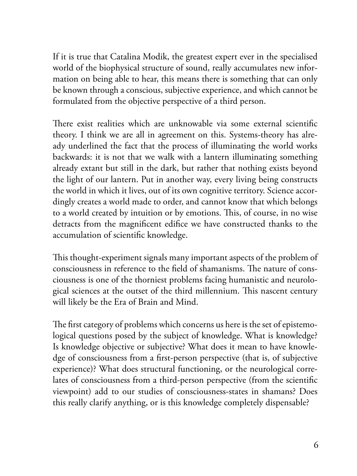If it is true that Catalina Modik, the greatest expert ever in the specialised world of the biophysical structure of sound, really accumulates new information on being able to hear, this means there is something that can only be known through a conscious, subjective experience, and which cannot be formulated from the objective perspective of a third person.

There exist realities which are unknowable via some external scientific theory. I think we are all in agreement on this. Systems-theory has already underlined the fact that the process of illuminating the world works backwards: it is not that we walk with a lantern illuminating something already extant but still in the dark, but rather that nothing exists beyond the light of our lantern. Put in another way, every living being constructs the world in which it lives, out of its own cognitive territory. Science accordingly creates a world made to order, and cannot know that which belongs to a world created by intuition or by emotions. This, of course, in no wise detracts from the magnificent edifice we have constructed thanks to the accumulation of scientific knowledge.

This thought-experiment signals many important aspects of the problem of consciousness in reference to the field of shamanisms. The nature of consciousness is one of the thorniest problems facing humanistic and neurological sciences at the outset of the third millennium. This nascent century will likely be the Era of Brain and Mind.

The first category of problems which concerns us here is the set of epistemological questions posed by the subject of knowledge. What is knowledge? Is knowledge objective or subjective? What does it mean to have knowledge of consciousness from a first-person perspective (that is, of subjective experience)? What does structural functioning, or the neurological correlates of consciousness from a third-person perspective (from the scientific viewpoint) add to our studies of consciousness-states in shamans? Does this really clarify anything, or is this knowledge completely dispensable?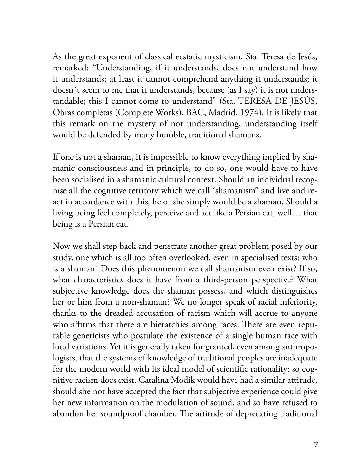As the great exponent of classical ecstatic mysticism, Sta. Teresa de Jesús, remarked: "Understanding, if it understands, does not understand how it understands; at least it cannot comprehend anything it understands; it doesn´t seem to me that it understands, because (as I say) it is not understandable; this I cannot come to understand" (Sta. TERESA DE JESÚS, Obras completas (Complete Works), BAC, Madrid, 1974). It is likely that this remark on the mystery of not understanding, understanding itself would be defended by many humble, traditional shamans.

If one is not a shaman, it is impossible to know everything implied by shamanic consciousness and in principle, to do so, one would have to have been socialised in a shamanic cultural context. Should an individual recognise all the cognitive territory which we call "shamanism" and live and react in accordance with this, he or she simply would be a shaman. Should a living being feel completely, perceive and act like a Persian cat, well… that being is a Persian cat.

Now we shall step back and penetrate another great problem posed by our study, one which is all too often overlooked, even in specialised texts: who is a shaman? Does this phenomenon we call shamanism even exist? If so, what characteristics does it have from a third-person perspective? What subjective knowledge does the shaman possess, and which distinguishes her or him from a non-shaman? We no longer speak of racial inferiority, thanks to the dreaded accusation of racism which will accrue to anyone who affirms that there are hierarchies among races. There are even reputable geneticists who postulate the existence of a single human race with local variations. Yet it is generally taken for granted, even among anthropologists, that the systems of knowledge of traditional peoples are inadequate for the modern world with its ideal model of scientific rationality: so cognitive racism does exist. Catalina Modik would have had a similar attitude, should she not have accepted the fact that subjective experience could give her new information on the modulation of sound, and so have refused to abandon her soundproof chamber. The attitude of deprecating traditional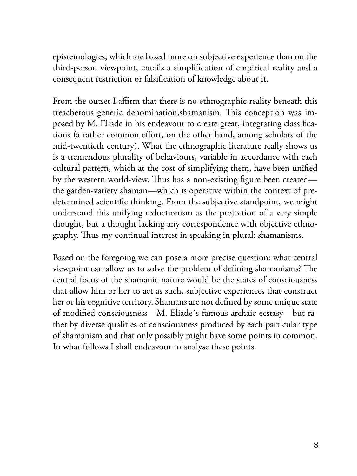epistemologies, which are based more on subjective experience than on the third-person viewpoint, entails a simplification of empirical reality and a consequent restriction or falsification of knowledge about it.

From the outset I affirm that there is no ethnographic reality beneath this treacherous generic denomination,shamanism. This conception was imposed by M. Eliade in his endeavour to create great, integrating classifications (a rather common effort, on the other hand, among scholars of the mid-twentieth century). What the ethnographic literature really shows us is a tremendous plurality of behaviours, variable in accordance with each cultural pattern, which at the cost of simplifying them, have been unified by the western world-view. Thus has a non-existing figure been created the garden-variety shaman—which is operative within the context of predetermined scientific thinking. From the subjective standpoint, we might understand this unifying reductionism as the projection of a very simple thought, but a thought lacking any correspondence with objective ethnography. Thus my continual interest in speaking in plural: shamanisms.

Based on the foregoing we can pose a more precise question: what central viewpoint can allow us to solve the problem of defining shamanisms? The central focus of the shamanic nature would be the states of consciousness that allow him or her to act as such, subjective experiences that construct her or his cognitive territory. Shamans are not defined by some unique state of modified consciousness—M. Eliade´s famous archaic ecstasy—but rather by diverse qualities of consciousness produced by each particular type of shamanism and that only possibly might have some points in common. In what follows I shall endeavour to analyse these points.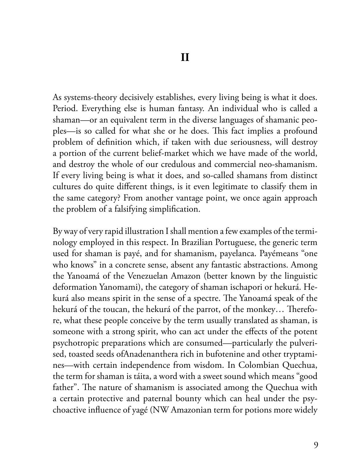As systems-theory decisively establishes, every living being is what it does. Period. Everything else is human fantasy. An individual who is called a shaman—or an equivalent term in the diverse languages of shamanic peoples—is so called for what she or he does. This fact implies a profound problem of definition which, if taken with due seriousness, will destroy a portion of the current belief-market which we have made of the world, and destroy the whole of our credulous and commercial neo-shamanism. If every living being is what it does, and so-called shamans from distinct cultures do quite different things, is it even legitimate to classify them in the same category? From another vantage point, we once again approach the problem of a falsifying simplification.

By way of very rapid illustration I shall mention a few examples of the terminology employed in this respect. In Brazilian Portuguese, the generic term used for shaman is payé, and for shamanism, payelanca. Payémeans "one who knows" in a concrete sense, absent any fantastic abstractions. Among the Yanoamá of the Venezuelan Amazon (better known by the linguistic deformation Yanomami), the category of shaman ischapori or hekurá. Hekurá also means spirit in the sense of a spectre. The Yanoamá speak of the hekurá of the toucan, the hekurá of the parrot, of the monkey… Therefore, what these people conceive by the term usually translated as shaman, is someone with a strong spirit, who can act under the effects of the potent psychotropic preparations which are consumed—particularly the pulverised, toasted seeds ofAnadenanthera rich in bufotenine and other tryptamines—with certain independence from wisdom. In Colombian Quechua, the term for shaman is táita, a word with a sweet sound which means "good father". The nature of shamanism is associated among the Quechua with a certain protective and paternal bounty which can heal under the psychoactive influence of yagé (NW Amazonian term for potions more widely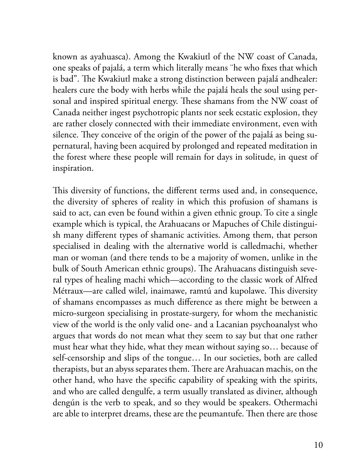known as ayahuasca). Among the Kwakiutl of the NW coast of Canada, one speaks of pajalá, a term which literally means ¨he who fixes that which is bad". The Kwakiutl make a strong distinction between pajalá andhealer: healers cure the body with herbs while the pajalá heals the soul using personal and inspired spiritual energy. These shamans from the NW coast of Canada neither ingest psychotropic plants nor seek ecstatic explosion, they are rather closely connected with their immediate environment, even with silence. They conceive of the origin of the power of the pajalá as being supernatural, having been acquired by prolonged and repeated meditation in the forest where these people will remain for days in solitude, in quest of inspiration.

This diversity of functions, the different terms used and, in consequence, the diversity of spheres of reality in which this profusion of shamans is said to act, can even be found within a given ethnic group. To cite a single example which is typical, the Arahuacans or Mapuches of Chile distinguish many different types of shamanic activities. Among them, that person specialised in dealing with the alternative world is calledmachi, whether man or woman (and there tends to be a majority of women, unlike in the bulk of South American ethnic groups). The Arahuacans distinguish several types of healing machi which—according to the classic work of Alfred Métraux—are called wilel, inaimawe, ramtú and kupolawe. This diversity of shamans encompasses as much difference as there might be between a micro-surgeon specialising in prostate-surgery, for whom the mechanistic view of the world is the only valid one- and a Lacanian psychoanalyst who argues that words do not mean what they seem to say but that one rather must hear what they hide, what they mean without saying so… because of self-censorship and slips of the tongue… In our societies, both are called therapists, but an abyss separates them. There are Arahuacan machis, on the other hand, who have the specific capability of speaking with the spirits, and who are called dengulfe, a term usually translated as diviner, although dengún is the verb to speak, and so they would be speakers. Othermachi are able to interpret dreams, these are the peumantufe. Then there are those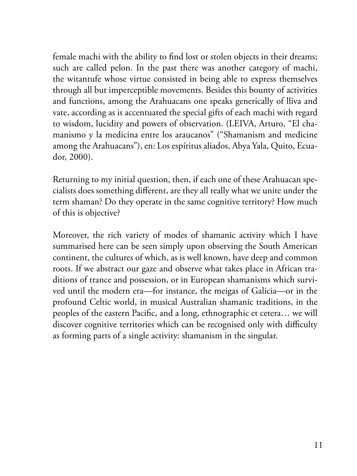female machi with the ability to find lost or stolen objects in their dreams; such are called pelon. In the past there was another category of machi, the witantufe whose virtue consisted in being able to express themselves through all but imperceptible movements. Besides this bounty of activities and functions, among the Arahuacans one speaks generically of lliva and vate, according as is accentuated the special gifts of each machi with regard to wisdom, lucidity and powers of observation. (LEIVA, Arturo, "El chamanismo y la medicina entre los araucanos" ("Shamanism and medicine among the Arahuacans"), en: Los espíritus aliados, Abya Yala, Quito, Ecuador, 2000).

Returning to my initial question, then, if each one of these Arahuacan specialists does something different, are they all really what we unite under the term shaman? Do they operate in the same cognitive territory? How much of this is objective?

Moreover, the rich variety of modes of shamanic activity which I have summarised here can be seen simply upon observing the South American continent, the cultures of which, as is well known, have deep and common roots. If we abstract our gaze and observe what takes place in African traditions of trance and possession, or in European shamanisms which survived until the modern era––for instance, the meigas of Galicia—or in the profound Celtic world, in musical Australian shamanic traditions, in the peoples of the eastern Pacific, and a long, ethnographic et cetera… we will discover cognitive territories which can be recognised only with difficulty as forming parts of a single activity: shamanism in the singular.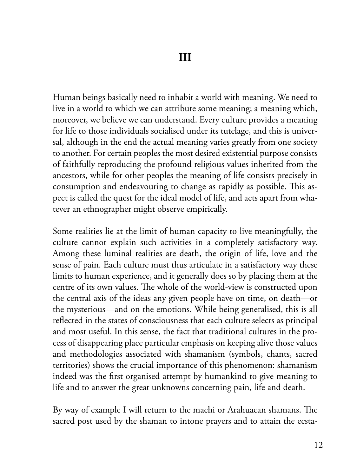Human beings basically need to inhabit a world with meaning. We need to live in a world to which we can attribute some meaning; a meaning which, moreover, we believe we can understand. Every culture provides a meaning for life to those individuals socialised under its tutelage, and this is universal, although in the end the actual meaning varies greatly from one society to another. For certain peoples the most desired existential purpose consists of faithfully reproducing the profound religious values inherited from the ancestors, while for other peoples the meaning of life consists precisely in consumption and endeavouring to change as rapidly as possible. This aspect is called the quest for the ideal model of life, and acts apart from whatever an ethnographer might observe empirically.

Some realities lie at the limit of human capacity to live meaningfully, the culture cannot explain such activities in a completely satisfactory way. Among these luminal realities are death, the origin of life, love and the sense of pain. Each culture must thus articulate in a satisfactory way these limits to human experience, and it generally does so by placing them at the centre of its own values. The whole of the world-view is constructed upon the central axis of the ideas any given people have on time, on death—or the mysterious—and on the emotions. While being generalised, this is all reflected in the states of consciousness that each culture selects as principal and most useful. In this sense, the fact that traditional cultures in the process of disappearing place particular emphasis on keeping alive those values and methodologies associated with shamanism (symbols, chants, sacred territories) shows the crucial importance of this phenomenon: shamanism indeed was the first organised attempt by humankind to give meaning to life and to answer the great unknowns concerning pain, life and death.

By way of example I will return to the machi or Arahuacan shamans. The sacred post used by the shaman to intone prayers and to attain the ecsta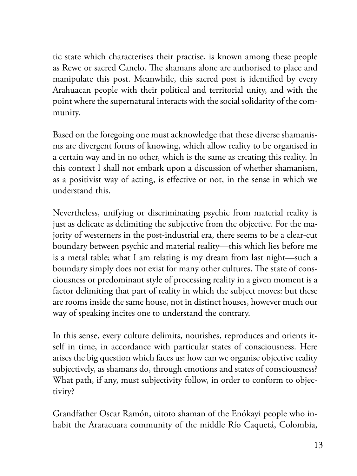tic state which characterises their practise, is known among these people as Rewe or sacred Canelo. The shamans alone are authorised to place and manipulate this post. Meanwhile, this sacred post is identified by every Arahuacan people with their political and territorial unity, and with the point where the supernatural interacts with the social solidarity of the community.

Based on the foregoing one must acknowledge that these diverse shamanisms are divergent forms of knowing, which allow reality to be organised in a certain way and in no other, which is the same as creating this reality. In this context I shall not embark upon a discussion of whether shamanism, as a positivist way of acting, is effective or not, in the sense in which we understand this.

Nevertheless, unifying or discriminating psychic from material reality is just as delicate as delimiting the subjective from the objective. For the majority of westerners in the post-industrial era, there seems to be a clear-cut boundary between psychic and material reality—this which lies before me is a metal table; what I am relating is my dream from last night—such a boundary simply does not exist for many other cultures. The state of consciousness or predominant style of processing reality in a given moment is a factor delimiting that part of reality in which the subject moves: but these are rooms inside the same house, not in distinct houses, however much our way of speaking incites one to understand the contrary.

In this sense, every culture delimits, nourishes, reproduces and orients itself in time, in accordance with particular states of consciousness. Here arises the big question which faces us: how can we organise objective reality subjectively, as shamans do, through emotions and states of consciousness? What path, if any, must subjectivity follow, in order to conform to objectivity?

Grandfather Oscar Ramón, uitoto shaman of the Enókayi people who inhabit the Araracuara community of the middle Río Caquetá, Colombia,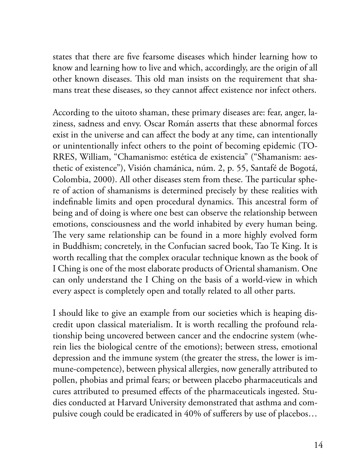states that there are five fearsome diseases which hinder learning how to know and learning how to live and which, accordingly, are the origin of all other known diseases. This old man insists on the requirement that shamans treat these diseases, so they cannot affect existence nor infect others.

According to the uitoto shaman, these primary diseases are: fear, anger, laziness, sadness and envy. Oscar Román asserts that these abnormal forces exist in the universe and can affect the body at any time, can intentionally or unintentionally infect others to the point of becoming epidemic (TO-RRES, William, "Chamanismo: estética de existencia" ("Shamanism: aesthetic of existence"), Visión chamánica, núm. 2, p. 55, Santafé de Bogotá, Colombia, 2000). All other diseases stem from these. The particular sphere of action of shamanisms is determined precisely by these realities with indefinable limits and open procedural dynamics. This ancestral form of being and of doing is where one best can observe the relationship between emotions, consciousness and the world inhabited by every human being. The very same relationship can be found in a more highly evolved form in Buddhism; concretely, in the Confucian sacred book, Tao Te King. It is worth recalling that the complex oracular technique known as the book of I Ching is one of the most elaborate products of Oriental shamanism. One can only understand the I Ching on the basis of a world-view in which every aspect is completely open and totally related to all other parts.

I should like to give an example from our societies which is heaping discredit upon classical materialism. It is worth recalling the profound relationship being uncovered between cancer and the endocrine system (wherein lies the biological centre of the emotions); between stress, emotional depression and the immune system (the greater the stress, the lower is immune-competence), between physical allergies, now generally attributed to pollen, phobias and primal fears; or between placebo pharmaceuticals and cures attributed to presumed effects of the pharmaceuticals ingested. Studies conducted at Harvard University demonstrated that asthma and compulsive cough could be eradicated in 40% of sufferers by use of placebos…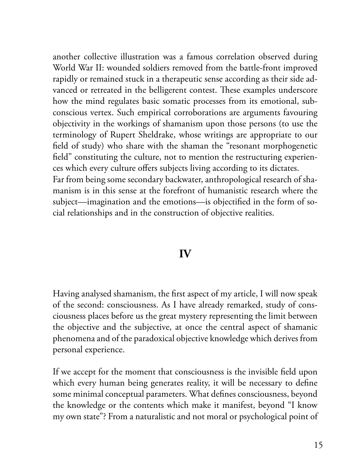another collective illustration was a famous correlation observed during World War II: wounded soldiers removed from the battle-front improved rapidly or remained stuck in a therapeutic sense according as their side advanced or retreated in the belligerent contest. These examples underscore how the mind regulates basic somatic processes from its emotional, subconscious vertex. Such empirical corroborations are arguments favouring objectivity in the workings of shamanism upon those persons (to use the terminology of Rupert Sheldrake, whose writings are appropriate to our field of study) who share with the shaman the "resonant morphogenetic field" constituting the culture, not to mention the restructuring experiences which every culture offers subjects living according to its dictates. Far from being some secondary backwater, anthropological research of shamanism is in this sense at the forefront of humanistic research where the subject—imagination and the emotions—is objectified in the form of social relationships and in the construction of objective realities.

#### **IV**

Having analysed shamanism, the first aspect of my article, I will now speak of the second: consciousness. As I have already remarked, study of consciousness places before us the great mystery representing the limit between the objective and the subjective, at once the central aspect of shamanic phenomena and of the paradoxical objective knowledge which derives from personal experience.

If we accept for the moment that consciousness is the invisible field upon which every human being generates reality, it will be necessary to define some minimal conceptual parameters. What defines consciousness, beyond the knowledge or the contents which make it manifest, beyond "I know my own state"? From a naturalistic and not moral or psychological point of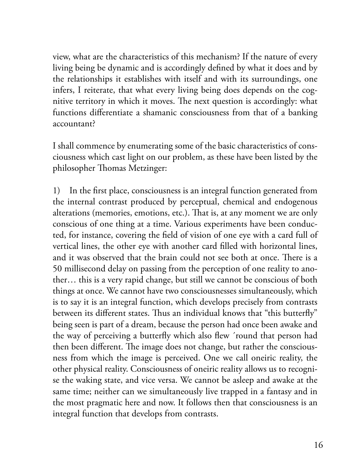view, what are the characteristics of this mechanism? If the nature of every living being be dynamic and is accordingly defined by what it does and by the relationships it establishes with itself and with its surroundings, one infers, I reiterate, that what every living being does depends on the cognitive territory in which it moves. The next question is accordingly: what functions differentiate a shamanic consciousness from that of a banking accountant?

I shall commence by enumerating some of the basic characteristics of consciousness which cast light on our problem, as these have been listed by the philosopher Thomas Metzinger:

1) In the first place, consciousness is an integral function generated from the internal contrast produced by perceptual, chemical and endogenous alterations (memories, emotions, etc.). That is, at any moment we are only conscious of one thing at a time. Various experiments have been conducted, for instance, covering the field of vision of one eye with a card full of vertical lines, the other eye with another card filled with horizontal lines, and it was observed that the brain could not see both at once. There is a 50 millisecond delay on passing from the perception of one reality to another… this is a very rapid change, but still we cannot be conscious of both things at once. We cannot have two consciousnesses simultaneously, which is to say it is an integral function, which develops precisely from contrasts between its different states. Thus an individual knows that "this butterfly" being seen is part of a dream, because the person had once been awake and the way of perceiving a butterfly which also flew ´round that person had then been different. The image does not change, but rather the consciousness from which the image is perceived. One we call oneiric reality, the other physical reality. Consciousness of oneiric reality allows us to recognise the waking state, and vice versa. We cannot be asleep and awake at the same time; neither can we simultaneously live trapped in a fantasy and in the most pragmatic here and now. It follows then that consciousness is an integral function that develops from contrasts.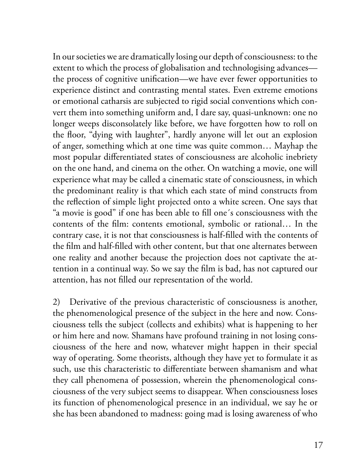In our societies we are dramatically losing our depth of consciousness: to the extent to which the process of globalisation and technologising advances the process of cognitive unification—we have ever fewer opportunities to experience distinct and contrasting mental states. Even extreme emotions or emotional catharsis are subjected to rigid social conventions which convert them into something uniform and, I dare say, quasi-unknown: one no longer weeps disconsolately like before, we have forgotten how to roll on the floor, "dying with laughter", hardly anyone will let out an explosion of anger, something which at one time was quite common… Mayhap the most popular differentiated states of consciousness are alcoholic inebriety on the one hand, and cinema on the other. On watching a movie, one will experience what may be called a cinematic state of consciousness, in which the predominant reality is that which each state of mind constructs from the reflection of simple light projected onto a white screen. One says that "a movie is good" if one has been able to fill one´s consciousness with the contents of the film: contents emotional, symbolic or rational… In the contrary case, it is not that consciousness is half-filled with the contents of the film and half-filled with other content, but that one alternates between one reality and another because the projection does not captivate the attention in a continual way. So we say the film is bad, has not captured our attention, has not filled our representation of the world.

2) Derivative of the previous characteristic of consciousness is another, the phenomenological presence of the subject in the here and now. Consciousness tells the subject (collects and exhibits) what is happening to her or him here and now. Shamans have profound training in not losing consciousness of the here and now, whatever might happen in their special way of operating. Some theorists, although they have yet to formulate it as such, use this characteristic to differentiate between shamanism and what they call phenomena of possession, wherein the phenomenological consciousness of the very subject seems to disappear. When consciousness loses its function of phenomenological presence in an individual, we say he or she has been abandoned to madness: going mad is losing awareness of who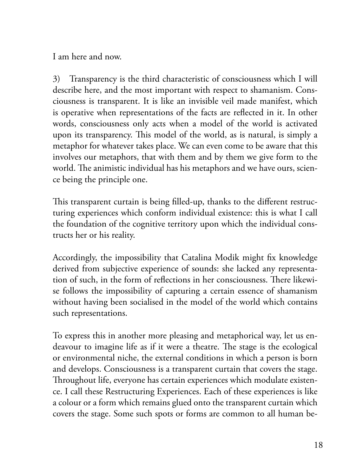I am here and now.

3) Transparency is the third characteristic of consciousness which I will describe here, and the most important with respect to shamanism. Consciousness is transparent. It is like an invisible veil made manifest, which is operative when representations of the facts are reflected in it. In other words, consciousness only acts when a model of the world is activated upon its transparency. This model of the world, as is natural, is simply a metaphor for whatever takes place. We can even come to be aware that this involves our metaphors, that with them and by them we give form to the world. The animistic individual has his metaphors and we have ours, science being the principle one.

This transparent curtain is being filled-up, thanks to the different restructuring experiences which conform individual existence: this is what I call the foundation of the cognitive territory upon which the individual constructs her or his reality.

Accordingly, the impossibility that Catalina Modik might fix knowledge derived from subjective experience of sounds: she lacked any representation of such, in the form of reflections in her consciousness. There likewise follows the impossibility of capturing a certain essence of shamanism without having been socialised in the model of the world which contains such representations.

To express this in another more pleasing and metaphorical way, let us endeavour to imagine life as if it were a theatre. The stage is the ecological or environmental niche, the external conditions in which a person is born and develops. Consciousness is a transparent curtain that covers the stage. Throughout life, everyone has certain experiences which modulate existence. I call these Restructuring Experiences. Each of these experiences is like a colour or a form which remains glued onto the transparent curtain which covers the stage. Some such spots or forms are common to all human be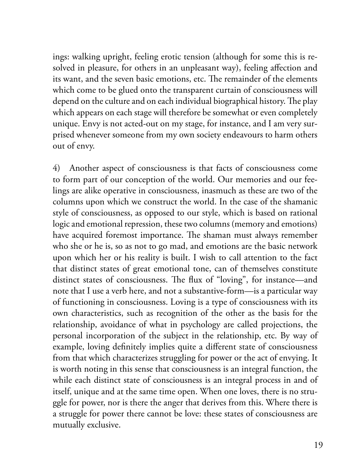ings: walking upright, feeling erotic tension (although for some this is resolved in pleasure, for others in an unpleasant way), feeling affection and its want, and the seven basic emotions, etc. The remainder of the elements which come to be glued onto the transparent curtain of consciousness will depend on the culture and on each individual biographical history. The play which appears on each stage will therefore be somewhat or even completely unique. Envy is not acted-out on my stage, for instance, and I am very surprised whenever someone from my own society endeavours to harm others out of envy.

4) Another aspect of consciousness is that facts of consciousness come to form part of our conception of the world. Our memories and our feelings are alike operative in consciousness, inasmuch as these are two of the columns upon which we construct the world. In the case of the shamanic style of consciousness, as opposed to our style, which is based on rational logic and emotional repression, these two columns (memory and emotions) have acquired foremost importance. The shaman must always remember who she or he is, so as not to go mad, and emotions are the basic network upon which her or his reality is built. I wish to call attention to the fact that distinct states of great emotional tone, can of themselves constitute distinct states of consciousness. The flux of "loving", for instance—and note that I use a verb here, and not a substantive-form—is a particular way of functioning in consciousness. Loving is a type of consciousness with its own characteristics, such as recognition of the other as the basis for the relationship, avoidance of what in psychology are called projections, the personal incorporation of the subject in the relationship, etc. By way of example, loving definitely implies quite a different state of consciousness from that which characterizes struggling for power or the act of envying. It is worth noting in this sense that consciousness is an integral function, the while each distinct state of consciousness is an integral process in and of itself, unique and at the same time open. When one loves, there is no struggle for power, nor is there the anger that derives from this. Where there is a struggle for power there cannot be love: these states of consciousness are mutually exclusive.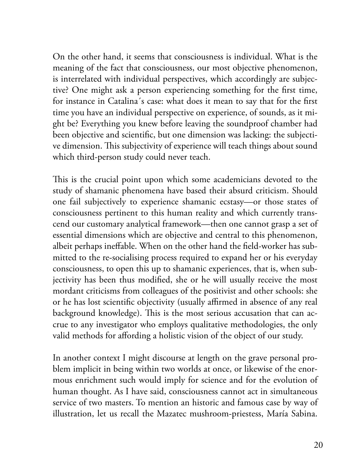On the other hand, it seems that consciousness is individual. What is the meaning of the fact that consciousness, our most objective phenomenon, is interrelated with individual perspectives, which accordingly are subjective? One might ask a person experiencing something for the first time, for instance in Catalina´s case: what does it mean to say that for the first time you have an individual perspective on experience, of sounds, as it might be? Everything you knew before leaving the soundproof chamber had been objective and scientific, but one dimension was lacking: the subjective dimension. This subjectivity of experience will teach things about sound which third-person study could never teach.

This is the crucial point upon which some academicians devoted to the study of shamanic phenomena have based their absurd criticism. Should one fail subjectively to experience shamanic ecstasy—or those states of consciousness pertinent to this human reality and which currently transcend our customary analytical framework—then one cannot grasp a set of essential dimensions which are objective and central to this phenomenon, albeit perhaps ineffable. When on the other hand the field-worker has submitted to the re-socialising process required to expand her or his everyday consciousness, to open this up to shamanic experiences, that is, when subjectivity has been thus modified, she or he will usually receive the most mordant criticisms from colleagues of the positivist and other schools: she or he has lost scientific objectivity (usually affirmed in absence of any real background knowledge). This is the most serious accusation that can accrue to any investigator who employs qualitative methodologies, the only valid methods for affording a holistic vision of the object of our study.

In another context I might discourse at length on the grave personal problem implicit in being within two worlds at once, or likewise of the enormous enrichment such would imply for science and for the evolution of human thought. As I have said, consciousness cannot act in simultaneous service of two masters. To mention an historic and famous case by way of illustration, let us recall the Mazatec mushroom-priestess, María Sabina.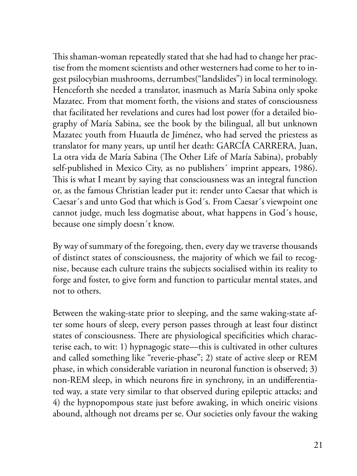This shaman-woman repeatedly stated that she had had to change her practise from the moment scientists and other westerners had come to her to ingest psilocybian mushrooms, derrumbes("landslides") in local terminology. Henceforth she needed a translator, inasmuch as María Sabina only spoke Mazatec. From that moment forth, the visions and states of consciousness that facilitated her revelations and cures had lost power (for a detailed biography of María Sabina, see the book by the bilingual, all but unknown Mazatec youth from Huautla de Jiménez, who had served the priestess as translator for many years, up until her death: GARCÍA CARRERA, Juan, La otra vida de María Sabina (The Other Life of María Sabina), probably self-published in Mexico City, as no publishers' imprint appears, 1986). This is what I meant by saying that consciousness was an integral function or, as the famous Christian leader put it: render unto Caesar that which is Caesar´s and unto God that which is God´s. From Caesar´s viewpoint one cannot judge, much less dogmatise about, what happens in God´s house, because one simply doesn´t know.

By way of summary of the foregoing, then, every day we traverse thousands of distinct states of consciousness, the majority of which we fail to recognise, because each culture trains the subjects socialised within its reality to forge and foster, to give form and function to particular mental states, and not to others.

Between the waking-state prior to sleeping, and the same waking-state after some hours of sleep, every person passes through at least four distinct states of consciousness. There are physiological specificities which characterise each, to wit: 1) hypnagogic state—this is cultivated in other cultures and called something like "reverie-phase"; 2) state of active sleep or REM phase, in which considerable variation in neuronal function is observed; 3) non-REM sleep, in which neurons fire in synchrony, in an undifferentiated way, a state very similar to that observed during epileptic attacks; and 4) the hypnopompous state just before awaking, in which oneiric visions abound, although not dreams per se. Our societies only favour the waking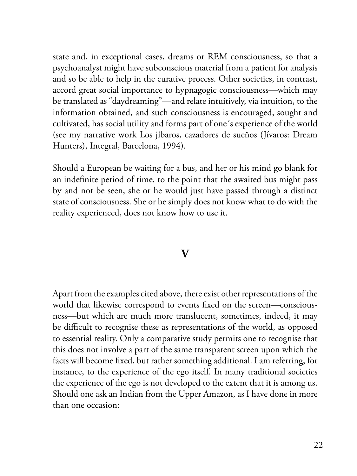state and, in exceptional cases, dreams or REM consciousness, so that a psychoanalyst might have subconscious material from a patient for analysis and so be able to help in the curative process. Other societies, in contrast, accord great social importance to hypnagogic consciousness—which may be translated as "daydreaming"—and relate intuitively, via intuition, to the information obtained, and such consciousness is encouraged, sought and cultivated, has social utility and forms part of one´s experience of the world (see my narrative work Los jíbaros, cazadores de sueños (Jívaros: Dream Hunters), Integral, Barcelona, 1994).

Should a European be waiting for a bus, and her or his mind go blank for an indefinite period of time, to the point that the awaited bus might pass by and not be seen, she or he would just have passed through a distinct state of consciousness. She or he simply does not know what to do with the reality experienced, does not know how to use it.

#### **V**

Apart from the examples cited above, there exist other representations of the world that likewise correspond to events fixed on the screen—consciousness—but which are much more translucent, sometimes, indeed, it may be difficult to recognise these as representations of the world, as opposed to essential reality. Only a comparative study permits one to recognise that this does not involve a part of the same transparent screen upon which the facts will become fixed, but rather something additional. I am referring, for instance, to the experience of the ego itself. In many traditional societies the experience of the ego is not developed to the extent that it is among us. Should one ask an Indian from the Upper Amazon, as I have done in more than one occasion: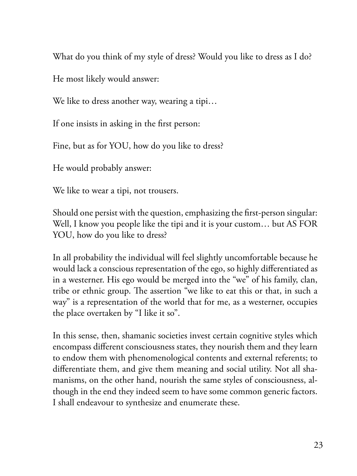What do you think of my style of dress? Would you like to dress as I do?

He most likely would answer:

We like to dress another way, wearing a tipi…

If one insists in asking in the first person:

Fine, but as for YOU, how do you like to dress?

He would probably answer:

We like to wear a tipi, not trousers.

Should one persist with the question, emphasizing the first-person singular: Well, I know you people like the tipi and it is your custom… but AS FOR YOU, how do you like to dress?

In all probability the individual will feel slightly uncomfortable because he would lack a conscious representation of the ego, so highly differentiated as in a westerner. His ego would be merged into the "we" of his family, clan, tribe or ethnic group. The assertion "we like to eat this or that, in such a way" is a representation of the world that for me, as a westerner, occupies the place overtaken by "I like it so".

In this sense, then, shamanic societies invest certain cognitive styles which encompass different consciousness states, they nourish them and they learn to endow them with phenomenological contents and external referents; to differentiate them, and give them meaning and social utility. Not all shamanisms, on the other hand, nourish the same styles of consciousness, although in the end they indeed seem to have some common generic factors. I shall endeavour to synthesize and enumerate these.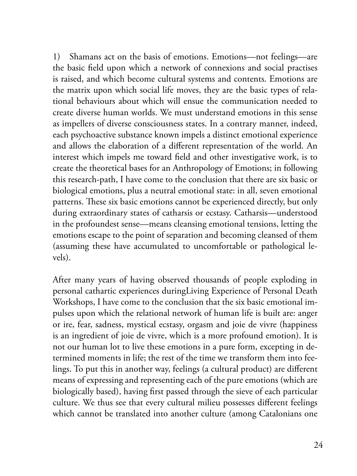1) Shamans act on the basis of emotions. Emotions—not feelings—are the basic field upon which a network of connexions and social practises is raised, and which become cultural systems and contents. Emotions are the matrix upon which social life moves, they are the basic types of relational behaviours about which will ensue the communication needed to create diverse human worlds. We must understand emotions in this sense as impellers of diverse consciousness states. In a contrary manner, indeed, each psychoactive substance known impels a distinct emotional experience and allows the elaboration of a different representation of the world. An interest which impels me toward field and other investigative work, is to create the theoretical bases for an Anthropology of Emotions; in following this research-path, I have come to the conclusion that there are six basic or biological emotions, plus a neutral emotional state: in all, seven emotional patterns. These six basic emotions cannot be experienced directly, but only during extraordinary states of catharsis or ecstasy. Catharsis—understood in the profoundest sense—means cleansing emotional tensions, letting the emotions escape to the point of separation and becoming cleansed of them (assuming these have accumulated to uncomfortable or pathological levels).

After many years of having observed thousands of people exploding in personal cathartic experiences duringLiving Experience of Personal Death Workshops, I have come to the conclusion that the six basic emotional impulses upon which the relational network of human life is built are: anger or ire, fear, sadness, mystical ecstasy, orgasm and joie de vivre (happiness is an ingredient of joie de vivre, which is a more profound emotion). It is not our human lot to live these emotions in a pure form, excepting in determined moments in life; the rest of the time we transform them into feelings. To put this in another way, feelings (a cultural product) are different means of expressing and representing each of the pure emotions (which are biologically based), having first passed through the sieve of each particular culture. We thus see that every cultural milieu possesses different feelings which cannot be translated into another culture (among Catalonians one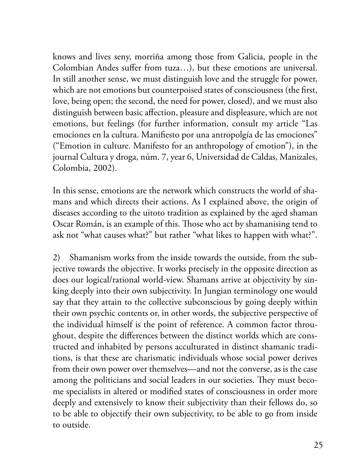knows and lives seny, morriña among those from Galicia, people in the Colombian Andes suffer from tuza…), but these emotions are universal. In still another sense, we must distinguish love and the struggle for power, which are not emotions but counterpoised states of consciousness (the first, love, being open; the second, the need for power, closed), and we must also distinguish between basic affection, pleasure and displeasure, which are not emotions, but feelings (for further information, consult my article "Las emociones en la cultura. Manifiesto por una antropolgía de las emociones" ("Emotion in culture. Manifesto for an anthropology of emotion"), in the journal Cultura y droga, núm. 7, year 6, Universidad de Caldas, Manizales, Colombia, 2002).

In this sense, emotions are the network which constructs the world of shamans and which directs their actions. As I explained above, the origin of diseases according to the uitoto tradition as explained by the aged shaman Oscar Román, is an example of this. Those who act by shamanising tend to ask not "what causes what?" but rather "what likes to happen with what?".

2) Shamanism works from the inside towards the outside, from the subjective towards the objective. It works precisely in the opposite direction as does our logical/rational world-view. Shamans arrive at objectivity by sinking deeply into their own subjectivity. In Jungian terminology one would say that they attain to the collective subconscious by going deeply within their own psychic contents or, in other words, the subjective perspective of the individual himself is the point of reference. A common factor throughout, despite the differences between the distinct worlds which are constructed and inhabited by persons acculturated in distinct shamanic traditions, is that these are charismatic individuals whose social power derives from their own power over themselves—and not the converse, as is the case among the politicians and social leaders in our societies. They must become specialists in altered or modified states of consciousness in order more deeply and extensively to know their subjectivity than their fellows do, so to be able to objectify their own subjectivity, to be able to go from inside to outside.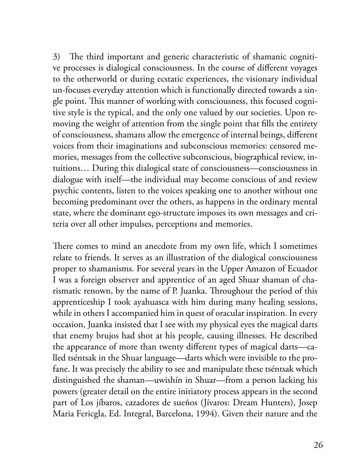3) The third important and generic characteristic of shamanic cognitive processes is dialogical consciousness. In the course of different voyages to the otherworld or during ecstatic experiences, the visionary individual un-focuses everyday attention which is functionally directed towards a single point. This manner of working with consciousness, this focused cognitive style is the typical, and the only one valued by our societies. Upon removing the weight of attention from the single point that fills the entirety of consciousness, shamans allow the emergence of internal beings, different voices from their imaginations and subconscious memories: censored memories, messages from the collective subconscious, biographical review, intuitions… During this dialogical state of consciousness—consciousness in dialogue with itself—the individual may become conscious of and review psychic contents, listen to the voices speaking one to another without one becoming predominant over the others, as happens in the ordinary mental state, where the dominant ego-structure imposes its own messages and criteria over all other impulses, perceptions and memories.

There comes to mind an anecdote from my own life, which I sometimes relate to friends. It serves as an illustration of the dialogical consciousness proper to shamanisms. For several years in the Upper Amazon of Ecuador I was a foreign observer and apprentice of an aged Shuar shaman of charismatic renown, by the name of P. Juanka. Throughout the period of this apprenticeship I took ayahuasca with him during many healing sessions, while in others I accompanied him in quest of oracular inspiration. In every occasion, Juanka insisted that I see with my physical eyes the magical darts that enemy brujos had shot at his people, causing illnesses. He described the appearance of more than twenty different types of magical darts—called tséntsak in the Shuar language—darts which were invisible to the profane. It was precisely the ability to see and manipulate these tséntsak which distinguished the shaman—uwishín in Shuar—from a person lacking his powers (greater detail on the entire initiatory process appears in the second part of Los jíbaros, cazadores de sueños (Jívaros: Dream Hunters), Josep Maria Fericgla, Ed. Integral, Barcelona, 1994). Given their nature and the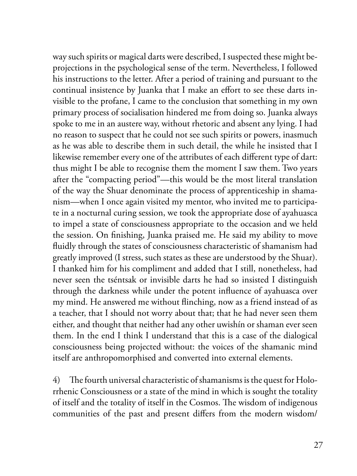way such spirits or magical darts were described, I suspected these might beprojections in the psychological sense of the term. Nevertheless, I followed his instructions to the letter. After a period of training and pursuant to the continual insistence by Juanka that I make an effort to see these darts invisible to the profane, I came to the conclusion that something in my own primary process of socialisation hindered me from doing so. Juanka always spoke to me in an austere way, without rhetoric and absent any lying. I had no reason to suspect that he could not see such spirits or powers, inasmuch as he was able to describe them in such detail, the while he insisted that I likewise remember every one of the attributes of each different type of dart: thus might I be able to recognise them the moment I saw them. Two years after the "compacting period"—this would be the most literal translation of the way the Shuar denominate the process of apprenticeship in shamanism—when I once again visited my mentor, who invited me to participate in a nocturnal curing session, we took the appropriate dose of ayahuasca to impel a state of consciousness appropriate to the occasion and we held the session. On finishing, Juanka praised me. He said my ability to move fluidly through the states of consciousness characteristic of shamanism had greatly improved (I stress, such states as these are understood by the Shuar). I thanked him for his compliment and added that I still, nonetheless, had never seen the tséntsak or invisible darts he had so insisted I distinguish through the darkness while under the potent influence of ayahuasca over my mind. He answered me without flinching, now as a friend instead of as a teacher, that I should not worry about that; that he had never seen them either, and thought that neither had any other uwishín or shaman ever seen them. In the end I think I understand that this is a case of the dialogical consciousness being projected without: the voices of the shamanic mind itself are anthropomorphised and converted into external elements.

4) The fourth universal characteristic of shamanisms is the quest for Holorrhenic Consciousness or a state of the mind in which is sought the totality of itself and the totality of itself in the Cosmos. The wisdom of indigenous communities of the past and present differs from the modern wisdom/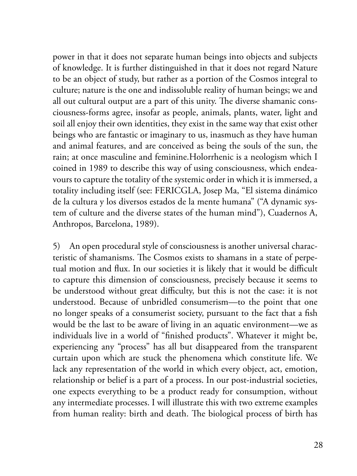power in that it does not separate human beings into objects and subjects of knowledge. It is further distinguished in that it does not regard Nature to be an object of study, but rather as a portion of the Cosmos integral to culture; nature is the one and indissoluble reality of human beings; we and all out cultural output are a part of this unity. The diverse shamanic consciousness-forms agree, insofar as people, animals, plants, water, light and soil all enjoy their own identities, they exist in the same way that exist other beings who are fantastic or imaginary to us, inasmuch as they have human and animal features, and are conceived as being the souls of the sun, the rain; at once masculine and feminine.Holorrhenic is a neologism which I coined in 1989 to describe this way of using consciousness, which endeavours to capture the totality of the systemic order in which it is immersed, a totality including itself (see: FERICGLA, Josep Ma, "El sistema dinámico de la cultura y los diversos estados de la mente humana" ("A dynamic system of culture and the diverse states of the human mind"), Cuadernos A, Anthropos, Barcelona, 1989).

5) An open procedural style of consciousness is another universal characteristic of shamanisms. The Cosmos exists to shamans in a state of perpetual motion and flux. In our societies it is likely that it would be difficult to capture this dimension of consciousness, precisely because it seems to be understood without great difficulty, but this is not the case: it is not understood. Because of unbridled consumerism—to the point that one no longer speaks of a consumerist society, pursuant to the fact that a fish would be the last to be aware of living in an aquatic environment—we as individuals live in a world of "finished products". Whatever it might be, experiencing any "process" has all but disappeared from the transparent curtain upon which are stuck the phenomena which constitute life. We lack any representation of the world in which every object, act, emotion, relationship or belief is a part of a process. In our post-industrial societies, one expects everything to be a product ready for consumption, without any intermediate processes. I will illustrate this with two extreme examples from human reality: birth and death. The biological process of birth has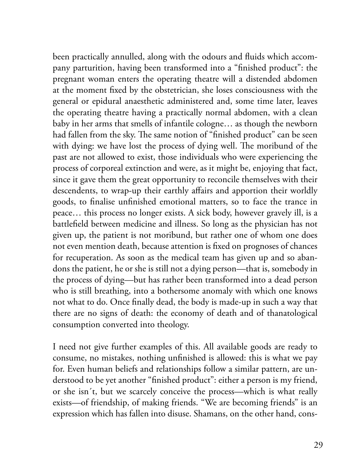been practically annulled, along with the odours and fluids which accompany parturition, having been transformed into a "finished product": the pregnant woman enters the operating theatre will a distended abdomen at the moment fixed by the obstetrician, she loses consciousness with the general or epidural anaesthetic administered and, some time later, leaves the operating theatre having a practically normal abdomen, with a clean baby in her arms that smells of infantile cologne… as though the newborn had fallen from the sky. The same notion of "finished product" can be seen with dying: we have lost the process of dying well. The moribund of the past are not allowed to exist, those individuals who were experiencing the process of corporeal extinction and were, as it might be, enjoying that fact, since it gave them the great opportunity to reconcile themselves with their descendents, to wrap-up their earthly affairs and apportion their worldly goods, to finalise unfinished emotional matters, so to face the trance in peace… this process no longer exists. A sick body, however gravely ill, is a battlefield between medicine and illness. So long as the physician has not given up, the patient is not moribund, but rather one of whom one does not even mention death, because attention is fixed on prognoses of chances for recuperation. As soon as the medical team has given up and so abandons the patient, he or she is still not a dying person—that is, somebody in the process of dying—but has rather been transformed into a dead person who is still breathing, into a bothersome anomaly with which one knows not what to do. Once finally dead, the body is made-up in such a way that there are no signs of death: the economy of death and of thanatological consumption converted into theology.

I need not give further examples of this. All available goods are ready to consume, no mistakes, nothing unfinished is allowed: this is what we pay for. Even human beliefs and relationships follow a similar pattern, are understood to be yet another "finished product": either a person is my friend, or she isn´t, but we scarcely conceive the process—which is what really exists—of friendship, of making friends. "We are becoming friends" is an expression which has fallen into disuse. Shamans, on the other hand, cons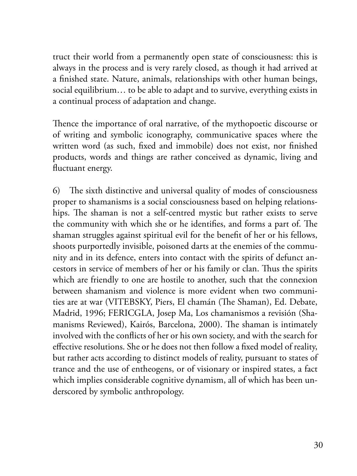truct their world from a permanently open state of consciousness: this is always in the process and is very rarely closed, as though it had arrived at a finished state. Nature, animals, relationships with other human beings, social equilibrium… to be able to adapt and to survive, everything exists in a continual process of adaptation and change.

Thence the importance of oral narrative, of the mythopoetic discourse or of writing and symbolic iconography, communicative spaces where the written word (as such, fixed and immobile) does not exist, nor finished products, words and things are rather conceived as dynamic, living and fluctuant energy.

6) The sixth distinctive and universal quality of modes of consciousness proper to shamanisms is a social consciousness based on helping relationships. The shaman is not a self-centred mystic but rather exists to serve the community with which she or he identifies, and forms a part of. The shaman struggles against spiritual evil for the benefit of her or his fellows, shoots purportedly invisible, poisoned darts at the enemies of the community and in its defence, enters into contact with the spirits of defunct ancestors in service of members of her or his family or clan. Thus the spirits which are friendly to one are hostile to another, such that the connexion between shamanism and violence is more evident when two communities are at war (VITEBSKY, Piers, El chamán (The Shaman), Ed. Debate, Madrid, 1996; FERICGLA, Josep Ma, Los chamanismos a revisión (Shamanisms Reviewed), Kairós, Barcelona, 2000). The shaman is intimately involved with the conflicts of her or his own society, and with the search for effective resolutions. She or he does not then follow a fixed model of reality, but rather acts according to distinct models of reality, pursuant to states of trance and the use of entheogens, or of visionary or inspired states, a fact which implies considerable cognitive dynamism, all of which has been underscored by symbolic anthropology.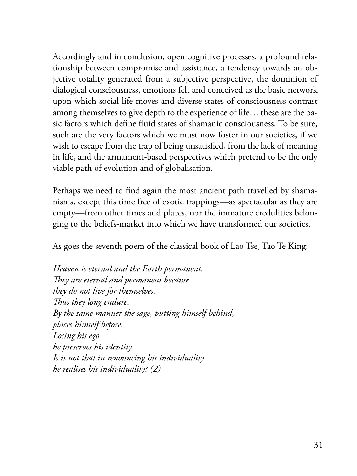Accordingly and in conclusion, open cognitive processes, a profound relationship between compromise and assistance, a tendency towards an objective totality generated from a subjective perspective, the dominion of dialogical consciousness, emotions felt and conceived as the basic network upon which social life moves and diverse states of consciousness contrast among themselves to give depth to the experience of life… these are the basic factors which define fluid states of shamanic consciousness. To be sure, such are the very factors which we must now foster in our societies, if we wish to escape from the trap of being unsatisfied, from the lack of meaning in life, and the armament-based perspectives which pretend to be the only viable path of evolution and of globalisation.

Perhaps we need to find again the most ancient path travelled by shamanisms, except this time free of exotic trappings—as spectacular as they are empty—from other times and places, nor the immature credulities belonging to the beliefs-market into which we have transformed our societies.

As goes the seventh poem of the classical book of Lao Tse, Tao Te King:

*Heaven is eternal and the Earth permanent. They are eternal and permanent because they do not live for themselves. Thus they long endure. By the same manner the sage, putting himself behind, places himself before. Losing his ego he preserves his identity. Is it not that in renouncing his individuality he realises his individuality? (2)*